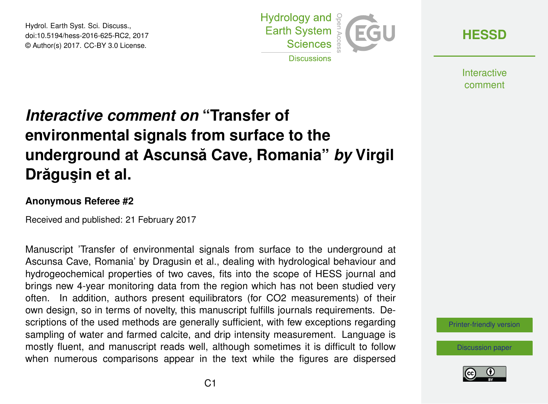Hydrol. Earth Syst. Sci. Discuss., doi:10.5194/hess-2016-625-RC2, 2017 © Author(s) 2017. CC-BY 3.0 License.



**[HESSD](http://www.hydrol-earth-syst-sci-discuss.net/)**

**Interactive** comment

## *Interactive comment on* **"Transfer of environmental signals from surface to the underground at Ascunsa Cave, Romania" ˘** *by* **Virgil Drăgușin et al.**

## **Anonymous Referee #2**

Received and published: 21 February 2017

Manuscript 'Transfer of environmental signals from surface to the underground at Ascunsa Cave, Romania' by Dragusin et al., dealing with hydrological behaviour and hydrogeochemical properties of two caves, fits into the scope of HESS journal and brings new 4-year monitoring data from the region which has not been studied very often. In addition, authors present equilibrators (for CO2 measurements) of their own design, so in terms of novelty, this manuscript fulfills journals requirements. Descriptions of the used methods are generally sufficient, with few exceptions regarding sampling of water and farmed calcite, and drip intensity measurement. Language is mostly fluent, and manuscript reads well, although sometimes it is difficult to follow when numerous comparisons appear in the text while the figures are dispersed

[Printer-friendly version](http://www.hydrol-earth-syst-sci-discuss.net/hess-2016-625/hess-2016-625-RC2-print.pdf)

[Discussion paper](http://www.hydrol-earth-syst-sci-discuss.net/hess-2016-625)